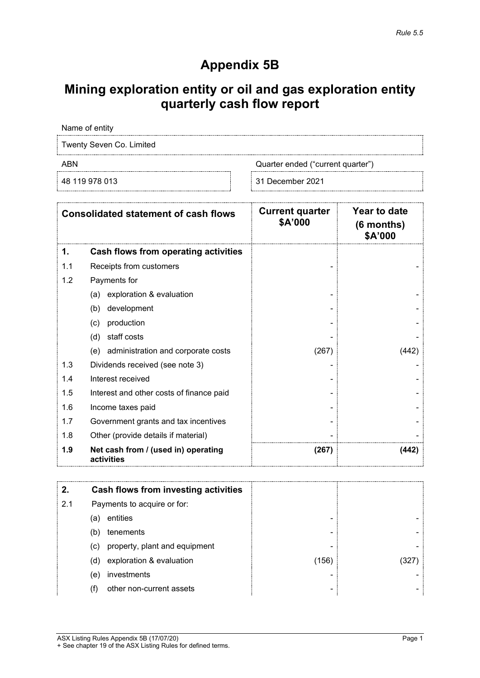# **Appendix 5B**

# **Mining exploration entity or oil and gas exploration entity quarterly cash flow report**

Name of entity

Twenty Seven Co. Limited

ABN ABN Quarter ended ("current quarter")

48 119 978 013 31 December 2021

| <b>Consolidated statement of cash flows</b> |                                                   | <b>Current quarter</b><br>\$A'000 | Year to date<br>$(6$ months)<br>\$A'000 |
|---------------------------------------------|---------------------------------------------------|-----------------------------------|-----------------------------------------|
| 1.                                          | Cash flows from operating activities              |                                   |                                         |
| 1.1                                         | Receipts from customers                           |                                   |                                         |
| 1.2                                         | Payments for                                      |                                   |                                         |
|                                             | exploration & evaluation<br>(a)                   |                                   |                                         |
|                                             | (b)<br>development                                |                                   |                                         |
|                                             | production<br>(c)                                 |                                   |                                         |
|                                             | staff costs<br>(d)                                |                                   |                                         |
|                                             | administration and corporate costs<br>(e)         | (267)                             | (442)                                   |
| 1.3                                         | Dividends received (see note 3)                   |                                   |                                         |
| 1.4                                         | Interest received                                 |                                   |                                         |
| 1.5                                         | Interest and other costs of finance paid          |                                   |                                         |
| 1.6                                         | Income taxes paid                                 |                                   |                                         |
| 1.7                                         | Government grants and tax incentives              |                                   |                                         |
| 1.8                                         | Other (provide details if material)               |                                   |                                         |
| 1.9                                         | Net cash from / (used in) operating<br>activities | (267)                             | (442)                                   |

|     |     | Cash flows from investing activities |                     |  |
|-----|-----|--------------------------------------|---------------------|--|
| 2.1 |     | Payments to acquire or for:          |                     |  |
|     | (a) | entities                             |                     |  |
|     | (b) | tenements                            | -                   |  |
|     | (c) | property, plant and equipment        |                     |  |
|     | (d) | exploration & evaluation             | $\left( 156\right)$ |  |
|     | (e) | investments                          |                     |  |
|     |     | other non-current assets             | -                   |  |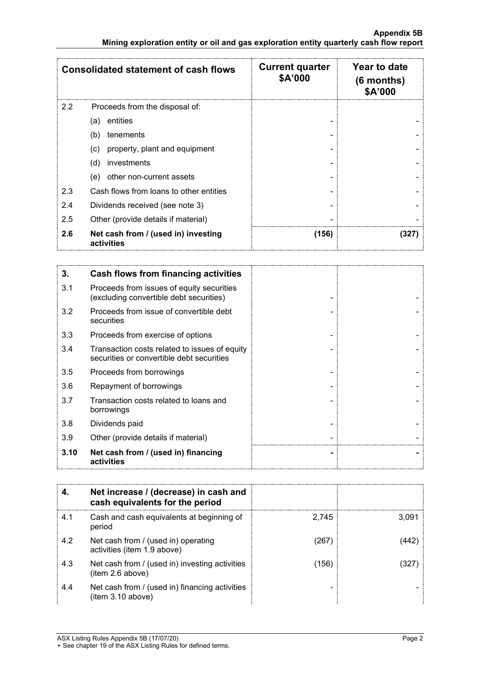|                                                          | <b>Consolidated statement of cash flows</b> | <b>Current quarter</b><br>\$A'000 | Year to date<br>$(6$ months)<br>\$A'000 |
|----------------------------------------------------------|---------------------------------------------|-----------------------------------|-----------------------------------------|
| 2.2                                                      | Proceeds from the disposal of:              |                                   |                                         |
|                                                          | entities<br>(a)                             |                                   |                                         |
|                                                          | (b)<br>tenements                            |                                   |                                         |
|                                                          | property, plant and equipment<br>(C)        |                                   |                                         |
|                                                          | (d)<br>investments                          |                                   |                                         |
|                                                          | other non-current assets<br>(e)             |                                   |                                         |
| 2.3                                                      | Cash flows from loans to other entities     |                                   |                                         |
| 2.4                                                      | Dividends received (see note 3)             |                                   |                                         |
| 2.5                                                      | Other (provide details if material)         |                                   |                                         |
| 2.6<br>Net cash from / (used in) investing<br>activities |                                             | (156)                             |                                         |

| 3.   | Cash flows from financing activities                                                       |  |
|------|--------------------------------------------------------------------------------------------|--|
| 3.1  | Proceeds from issues of equity securities<br>(excluding convertible debt securities)       |  |
| 3.2  | Proceeds from issue of convertible debt<br>securities                                      |  |
| 3.3  | Proceeds from exercise of options                                                          |  |
| 3.4  | Transaction costs related to issues of equity<br>securities or convertible debt securities |  |
| 3.5  | Proceeds from borrowings                                                                   |  |
| 3.6  | Repayment of borrowings                                                                    |  |
| 3.7  | Transaction costs related to loans and<br>borrowings                                       |  |
| 3.8  | Dividends paid                                                                             |  |
| 3.9  | Other (provide details if material)                                                        |  |
| 3.10 | Net cash from / (used in) financing<br>activities                                          |  |

|     | Net increase / (decrease) in cash and<br>cash equivalents for the period |       |       |
|-----|--------------------------------------------------------------------------|-------|-------|
| 4.1 | Cash and cash equivalents at beginning of<br>period                      | 2.745 | 3.091 |
| 4.2 | Net cash from / (used in) operating<br>activities (item 1.9 above)       | (267  |       |
| 4.3 | Net cash from / (used in) investing activities<br>(item 2.6 above)       | (156  |       |
| 4.4 | Net cash from / (used in) financing activities<br>(item 3.10 above)      |       |       |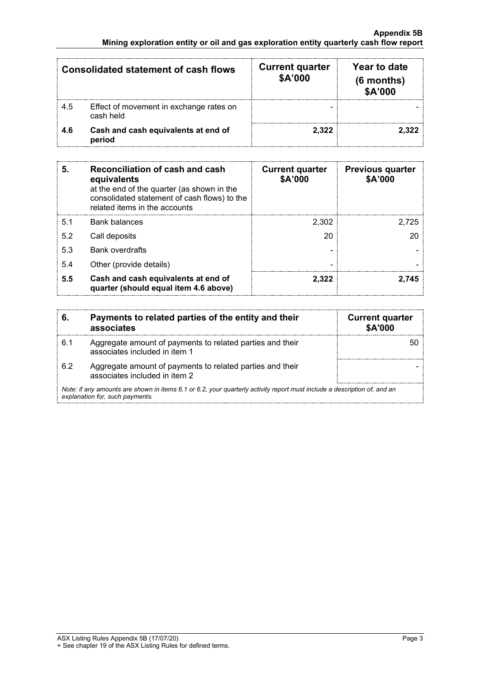| <b>Consolidated statement of cash flows</b> |                                                      | <b>Current quarter</b><br>\$A'000 | Year to date<br>$(6$ months)<br>\$A'000 |
|---------------------------------------------|------------------------------------------------------|-----------------------------------|-----------------------------------------|
| -4.5                                        | Effect of movement in exchange rates on<br>cash held |                                   |                                         |
| 4.6                                         | Cash and cash equivalents at end of<br>period        | 2.322                             |                                         |

| 5.  | Reconciliation of cash and cash<br>equivalents<br>at the end of the quarter (as shown in the<br>consolidated statement of cash flows) to the<br>related items in the accounts | <b>Current quarter</b><br>\$A'000 | <b>Previous quarter</b><br>\$A'000 |
|-----|-------------------------------------------------------------------------------------------------------------------------------------------------------------------------------|-----------------------------------|------------------------------------|
| 5.1 | <b>Bank balances</b>                                                                                                                                                          | 2,302                             | 2.725                              |
| 5.2 | Call deposits                                                                                                                                                                 | 20                                |                                    |
| 5.3 | <b>Bank overdrafts</b>                                                                                                                                                        |                                   |                                    |
| 5.4 | Other (provide details)                                                                                                                                                       |                                   |                                    |
| 5.5 | Cash and cash equivalents at end of<br>quarter (should equal item 4.6 above)                                                                                                  | 2.322                             |                                    |

| 6.                                                                                                                                                          | Payments to related parties of the entity and their<br>associates                          | <b>Current quarter</b><br>\$A'000 |
|-------------------------------------------------------------------------------------------------------------------------------------------------------------|--------------------------------------------------------------------------------------------|-----------------------------------|
| 6.1                                                                                                                                                         | Aggregate amount of payments to related parties and their<br>associates included in item 1 |                                   |
| 6.2                                                                                                                                                         | Aggregate amount of payments to related parties and their<br>associates included in item 2 |                                   |
| Note: if any amounts are shown in items 6.1 or 6.2, your quarterly activity report must include a description of, and an<br>explanation for, such payments. |                                                                                            |                                   |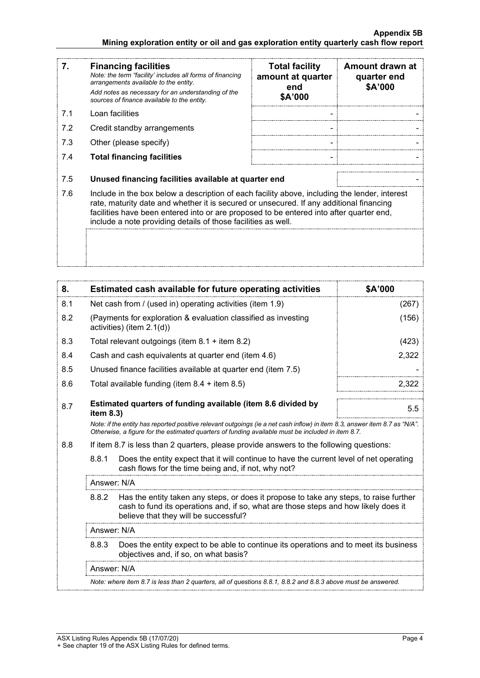### **Appendix 5B Mining exploration entity or oil and gas exploration entity quarterly cash flow report**

| 7.  | <b>Financing facilities</b><br>Note: the term "facility' includes all forms of financing<br>arrangements available to the entity.<br>Add notes as necessary for an understanding of the<br>sources of finance available to the entity.                                                                                                               | <b>Total facility</b><br>amount at quarter<br>end<br>\$A'000 | Amount drawn at<br>quarter end<br>\$A'000 |
|-----|------------------------------------------------------------------------------------------------------------------------------------------------------------------------------------------------------------------------------------------------------------------------------------------------------------------------------------------------------|--------------------------------------------------------------|-------------------------------------------|
| 7.1 | Loan facilities                                                                                                                                                                                                                                                                                                                                      |                                                              |                                           |
| 7.2 | Credit standby arrangements                                                                                                                                                                                                                                                                                                                          |                                                              |                                           |
| 7.3 | Other (please specify)                                                                                                                                                                                                                                                                                                                               |                                                              |                                           |
| 7.4 | <b>Total financing facilities</b>                                                                                                                                                                                                                                                                                                                    |                                                              |                                           |
| 7.5 | Unused financing facilities available at quarter end                                                                                                                                                                                                                                                                                                 |                                                              |                                           |
| 7.6 | Include in the box below a description of each facility above, including the lender, interest<br>rate, maturity date and whether it is secured or unsecured. If any additional financing<br>facilities have been entered into or are proposed to be entered into after quarter end,<br>include a note providing details of those facilities as well. |                                                              |                                           |
|     |                                                                                                                                                                                                                                                                                                                                                      |                                                              |                                           |

| 8.                                                                                                                                                                                                                              |                                                                                                                                                                                                                                                                                                                                                                                           | Estimated cash available for future operating activities                                | \$A'000 |
|---------------------------------------------------------------------------------------------------------------------------------------------------------------------------------------------------------------------------------|-------------------------------------------------------------------------------------------------------------------------------------------------------------------------------------------------------------------------------------------------------------------------------------------------------------------------------------------------------------------------------------------|-----------------------------------------------------------------------------------------|---------|
| 8.1                                                                                                                                                                                                                             | Net cash from / (used in) operating activities (item 1.9)                                                                                                                                                                                                                                                                                                                                 |                                                                                         | (267)   |
| 8.2                                                                                                                                                                                                                             | (Payments for exploration & evaluation classified as investing<br>activities) (item 2.1(d))                                                                                                                                                                                                                                                                                               |                                                                                         | (156)   |
| 8.3                                                                                                                                                                                                                             |                                                                                                                                                                                                                                                                                                                                                                                           | Total relevant outgoings (item $8.1 +$ item $8.2$ )                                     | (423)   |
| 8.4                                                                                                                                                                                                                             |                                                                                                                                                                                                                                                                                                                                                                                           | Cash and cash equivalents at quarter end (item 4.6)                                     | 2,322   |
| 8.5                                                                                                                                                                                                                             |                                                                                                                                                                                                                                                                                                                                                                                           | Unused finance facilities available at quarter end (item 7.5)                           |         |
| 8.6                                                                                                                                                                                                                             |                                                                                                                                                                                                                                                                                                                                                                                           | Total available funding (item $8.4 +$ item $8.5$ )                                      | 2,322   |
| 8.7                                                                                                                                                                                                                             | item 8.3)                                                                                                                                                                                                                                                                                                                                                                                 | Estimated quarters of funding available (item 8.6 divided by                            | 5.5     |
| Note: if the entity has reported positive relevant outgoings (ie a net cash inflow) in item 8.3, answer item 8.7 as "N/A".<br>Otherwise, a figure for the estimated quarters of funding available must be included in item 8.7. |                                                                                                                                                                                                                                                                                                                                                                                           |                                                                                         |         |
| 8.8                                                                                                                                                                                                                             |                                                                                                                                                                                                                                                                                                                                                                                           | If item 8.7 is less than 2 quarters, please provide answers to the following questions: |         |
|                                                                                                                                                                                                                                 | 8.8.1<br>Does the entity expect that it will continue to have the current level of net operating<br>cash flows for the time being and, if not, why not?                                                                                                                                                                                                                                   |                                                                                         |         |
|                                                                                                                                                                                                                                 | Answer: N/A                                                                                                                                                                                                                                                                                                                                                                               |                                                                                         |         |
|                                                                                                                                                                                                                                 | 8.8.2<br>Has the entity taken any steps, or does it propose to take any steps, to raise further<br>cash to fund its operations and, if so, what are those steps and how likely does it<br>believe that they will be successful?<br>Answer: N/A<br>Does the entity expect to be able to continue its operations and to meet its business<br>8.8.3<br>objectives and, if so, on what basis? |                                                                                         |         |
|                                                                                                                                                                                                                                 |                                                                                                                                                                                                                                                                                                                                                                                           |                                                                                         |         |
|                                                                                                                                                                                                                                 |                                                                                                                                                                                                                                                                                                                                                                                           |                                                                                         |         |
|                                                                                                                                                                                                                                 | Answer: N/A                                                                                                                                                                                                                                                                                                                                                                               |                                                                                         |         |
|                                                                                                                                                                                                                                 | Note: where item 8.7 is less than 2 quarters, all of questions 8.8.1, 8.8.2 and 8.8.3 above must be answered.                                                                                                                                                                                                                                                                             |                                                                                         |         |